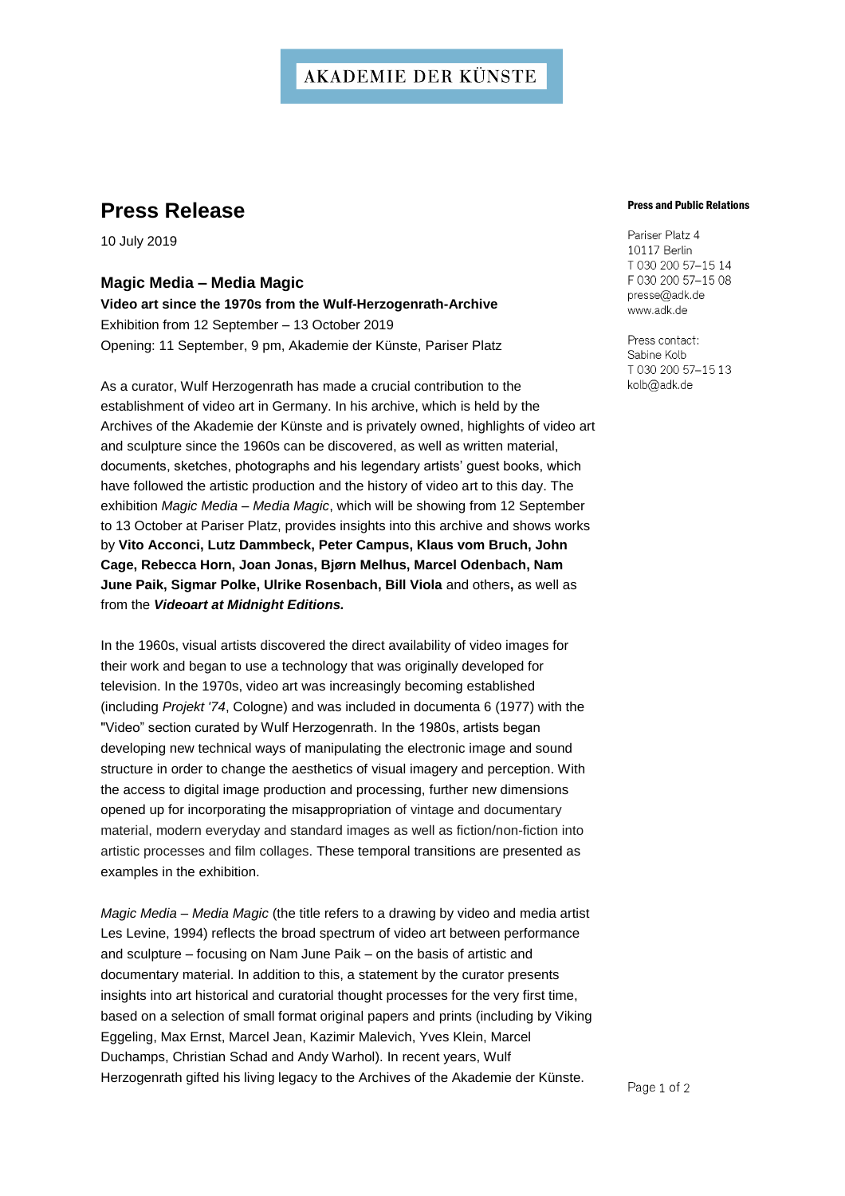### **AKADEMIE DER KÜNSTE**

## **Press Release**

10 July 2019

### **Magic Media – Media Magic**

**Video art since the 1970s from the Wulf-Herzogenrath-Archive** Exhibition from 12 September – 13 October 2019 Opening: 11 September, 9 pm, Akademie der Künste, Pariser Platz

As a curator, Wulf Herzogenrath has made a crucial contribution to the establishment of video art in Germany. In his archive, which is held by the Archives of the Akademie der Künste and is privately owned, highlights of video art and sculpture since the 1960s can be discovered, as well as written material, documents, sketches, photographs and his legendary artists' guest books, which have followed the artistic production and the history of video art to this day. The exhibition *Magic Media – Media Magic*, which will be showing from 12 September to 13 October at Pariser Platz, provides insights into this archive and shows works by **Vito Acconci, Lutz Dammbeck, Peter Campus, Klaus vom Bruch, John Cage, Rebecca Horn, Joan Jonas, Bjørn Melhus, Marcel Odenbach, Nam June Paik, Sigmar Polke, Ulrike Rosenbach, Bill Viola** and others**,** as well as from the *Videoart at Midnight Editions.*

In the 1960s, visual artists discovered the direct availability of video images for their work and began to use a technology that was originally developed for television. In the 1970s, video art was increasingly becoming established (including *Projekt '74*, Cologne) and was included in documenta 6 (1977) with the "Video" section curated by Wulf Herzogenrath. In the 1980s, artists began developing new technical ways of manipulating the electronic image and sound structure in order to change the aesthetics of visual imagery and perception. With the access to digital image production and processing, further new dimensions opened up for incorporating the misappropriation of vintage and documentary material, modern everyday and standard images as well as fiction/non-fiction into artistic processes and film collages. These temporal transitions are presented as examples in the exhibition.

*Magic Media – Media Magic* (the title refers to a drawing by video and media artist Les Levine, 1994) reflects the broad spectrum of video art between performance and sculpture – focusing on Nam June Paik – on the basis of artistic and documentary material. In addition to this, a statement by the curator presents insights into art historical and curatorial thought processes for the very first time, based on a selection of small format original papers and prints (including by Viking Eggeling, Max Ernst, Marcel Jean, Kazimir Malevich, Yves Klein, Marcel Duchamps, Christian Schad and Andy Warhol). In recent years, Wulf Herzogenrath gifted his living legacy to the Archives of the Akademie der Künste.

### Press and Public Relations

Pariser Platz 4 10117 Berlin T 030 200 57-15 14 F 030 200 57-15 08 presse@adk.de www.adk.de

Press contact: Sabine Kolb T 030 200 57-15 13 kolb@adk.de